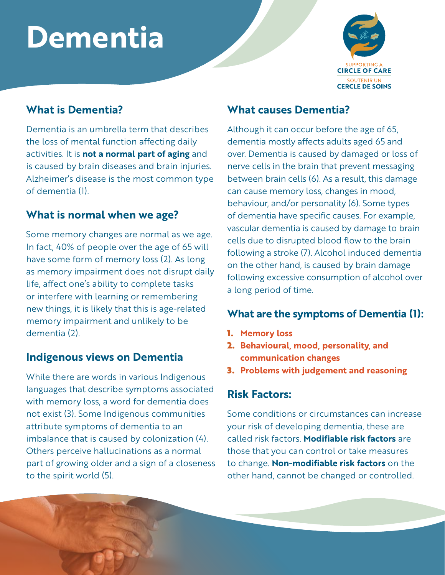# **Dementia**



#### **What is Dementia?**

Dementia is an umbrella term that describes the loss of mental function affecting daily activities. It is **not a normal part of aging** and is caused by brain diseases and brain injuries. Alzheimer's disease is the most common type of dementia (1).

## **What is normal when we age?**

Some memory changes are normal as we age. In fact, 40% of people over the age of 65 will have some form of memory loss (2). As long as memory impairment does not disrupt daily life, affect one's ability to complete tasks or interfere with learning or remembering new things, it is likely that this is age-related memory impairment and unlikely to be dementia (2).

## **Indigenous views on Dementia**

While there are words in various Indigenous languages that describe symptoms associated with memory loss, a word for dementia does not exist (3). Some Indigenous communities attribute symptoms of dementia to an imbalance that is caused by colonization (4). Others perceive hallucinations as a normal part of growing older and a sign of a closeness to the spirit world (5).

#### **What causes Dementia?**

Although it can occur before the age of 65, dementia mostly affects adults aged 65 and over. Dementia is caused by damaged or loss of nerve cells in the brain that prevent messaging between brain cells (6). As a result, this damage can cause memory loss, changes in mood, behaviour, and/or personality (6). Some types of dementia have specific causes. For example, vascular dementia is caused by damage to brain cells due to disrupted blood flow to the brain following a stroke (7). Alcohol induced dementia on the other hand, is caused by brain damage following excessive consumption of alcohol over a long period of time.

#### **What are the symptoms of Dementia (1):**

- 1. **Memory loss**
- 2. **Behavioural, mood, personality, and communication changes**
- 3. **Problems with judgement and reasoning**

#### **Risk Factors:**

Some conditions or circumstances can increase your risk of developing dementia, these are called risk factors. **Modifiable risk factors** are those that you can control or take measures to change. **Non-modifiable risk factors** on the other hand, cannot be changed or controlled.